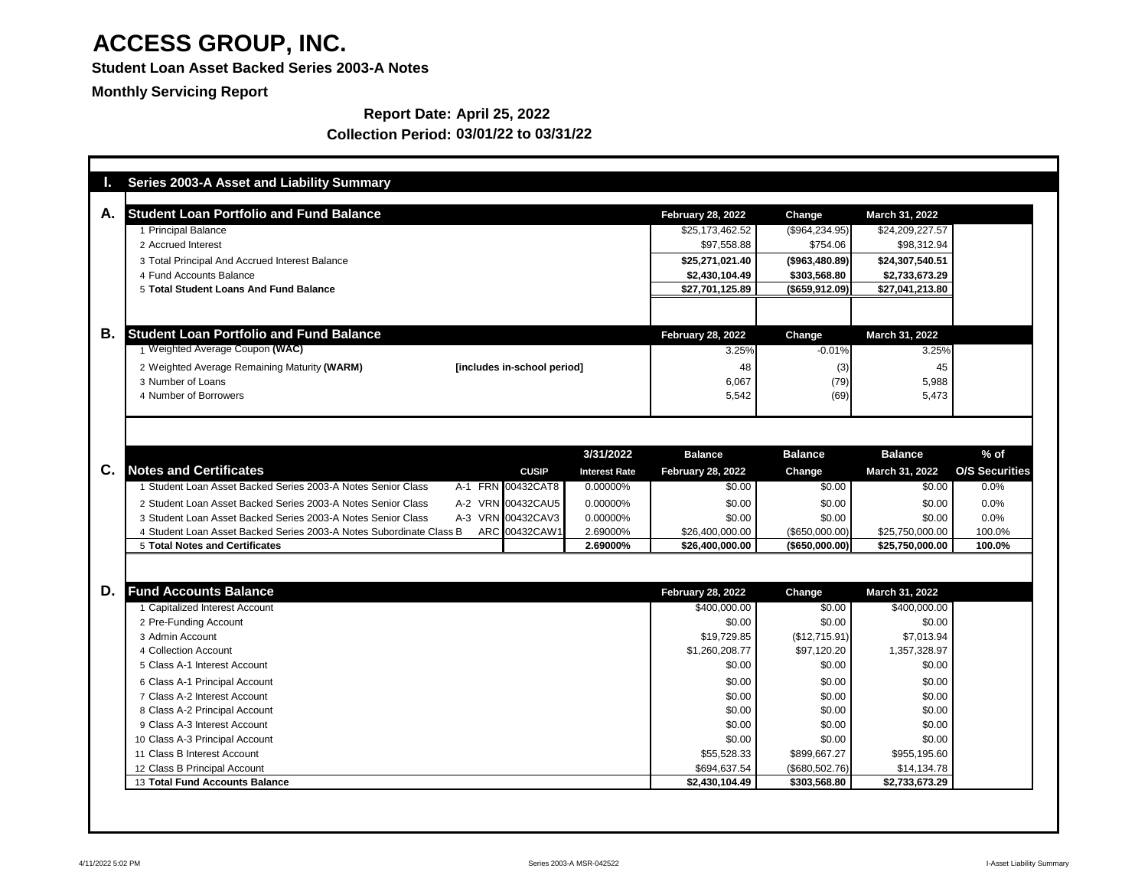**Student Loan Asset Backed Series 2003-A Notes**

**Monthly Servicing Report**

| Ъ.             | <b>Series 2003-A Asset and Liability Summary</b>                    |                             |                      |                          |                   |                       |                       |
|----------------|---------------------------------------------------------------------|-----------------------------|----------------------|--------------------------|-------------------|-----------------------|-----------------------|
| А.             | <b>Student Loan Portfolio and Fund Balance</b>                      |                             |                      | <b>February 28, 2022</b> | Change            | <b>March 31, 2022</b> |                       |
|                | 1 Principal Balance                                                 |                             |                      | \$25,173,462.52          | (\$964,234.95)    | \$24,209,227.57       |                       |
|                | 2 Accrued Interest                                                  |                             |                      | \$97,558.88              | \$754.06          | \$98,312.94           |                       |
|                | 3 Total Principal And Accrued Interest Balance                      |                             |                      | \$25,271,021.40          | (\$963,480.89)    | \$24,307,540.51       |                       |
|                | 4 Fund Accounts Balance                                             |                             |                      | \$2,430,104.49           | \$303,568.80      | \$2,733,673.29        |                       |
|                | 5 Total Student Loans And Fund Balance                              |                             |                      | \$27,701,125.89          | (\$659, 912.09)   | \$27,041,213.80       |                       |
|                |                                                                     |                             |                      |                          |                   |                       |                       |
| В.             | <b>Student Loan Portfolio and Fund Balance</b>                      |                             |                      | <b>February 28, 2022</b> | Change            | March 31, 2022        |                       |
|                | 1 Weighted Average Coupon (WAC)                                     |                             |                      | 3.25%                    | $-0.01%$          | 3.25%                 |                       |
|                | 2 Weighted Average Remaining Maturity (WARM)                        | [includes in-school period] |                      | 48                       |                   |                       |                       |
|                | 3 Number of Loans                                                   |                             |                      | 6,067                    | (3)<br>(79)       | 45<br>5,988           |                       |
|                | 4 Number of Borrowers                                               |                             |                      | 5,542                    | (69)              | 5,473                 |                       |
|                |                                                                     |                             |                      |                          |                   |                       |                       |
|                |                                                                     |                             |                      |                          |                   |                       |                       |
|                |                                                                     |                             | 3/31/2022            | <b>Balance</b>           | <b>Balance</b>    | <b>Balance</b>        | $%$ of                |
| $\mathbf{C}$ . | <b>Notes and Certificates</b>                                       | <b>CUSIP</b>                | <b>Interest Rate</b> | <b>February 28, 2022</b> | Change            | March 31, 2022        | <b>O/S Securities</b> |
|                | 1 Student Loan Asset Backed Series 2003-A Notes Senior Class        | A-1 FRN 00432CAT8           | 0.00000%             | \$0.00                   | \$0.00            | \$0.00                | 0.0%                  |
|                | 2 Student Loan Asset Backed Series 2003-A Notes Senior Class        | A-2 VRN 00432CAU5           | 0.00000%             | \$0.00                   | \$0.00            | \$0.00                | 0.0%                  |
|                | 3 Student Loan Asset Backed Series 2003-A Notes Senior Class        | A-3 VRN 00432CAV3           | 0.00000%             | \$0.00                   | \$0.00            | \$0.00                | 0.0%                  |
|                | 4 Student Loan Asset Backed Series 2003-A Notes Subordinate Class B | ARC 00432CAW1               | 2.69000%             | \$26,400,000.00          | (\$650,000.00)    | \$25,750,000.00       | 100.0%                |
|                | <b>5 Total Notes and Certificates</b>                               |                             | 2.69000%             | \$26,400,000.00          | $($ \$650,000.00) | \$25,750,000.00       | 100.0%                |
|                |                                                                     |                             |                      |                          |                   |                       |                       |
| D.             | <b>Fund Accounts Balance</b>                                        |                             |                      | <b>February 28, 2022</b> | Change            | <b>March 31, 2022</b> |                       |
|                | 1 Capitalized Interest Account                                      |                             |                      | \$400,000.00             | \$0.00            | \$400,000.00          |                       |
|                | 2 Pre-Funding Account                                               |                             |                      | \$0.00                   | \$0.00            | \$0.00                |                       |
|                | 3 Admin Account                                                     |                             |                      | \$19,729.85              | (\$12,715.91)     | \$7,013.94            |                       |
|                | 4 Collection Account                                                |                             |                      | \$1,260,208.77           | \$97,120.20       | 1,357,328.97          |                       |
|                | 5 Class A-1 Interest Account                                        |                             |                      | \$0.00                   | \$0.00            | \$0.00                |                       |
|                | 6 Class A-1 Principal Account                                       |                             |                      | \$0.00                   | \$0.00            | \$0.00                |                       |
|                | 7 Class A-2 Interest Account                                        |                             |                      | \$0.00                   | \$0.00            | \$0.00                |                       |
|                | 8 Class A-2 Principal Account                                       |                             |                      | \$0.00                   | \$0.00            | \$0.00                |                       |
|                | 9 Class A-3 Interest Account                                        |                             |                      | \$0.00                   | \$0.00            | \$0.00                |                       |
|                | 10 Class A-3 Principal Account                                      |                             |                      | \$0.00                   | \$0.00            | \$0.00                |                       |
|                | 11 Class B Interest Account                                         |                             |                      | \$55,528.33              | \$899,667.27      | \$955,195.60          |                       |
|                | 12 Class B Principal Account                                        |                             |                      | \$694,637.54             | (\$680,502.76)    | \$14,134.78           |                       |
|                | 13 Total Fund Accounts Balance                                      |                             |                      | \$2,430,104.49           | \$303,568.80      | \$2,733,673.29        |                       |

## **Report Date: April 25, 2022 Collection Period: 03/01/22 to 03/31/22**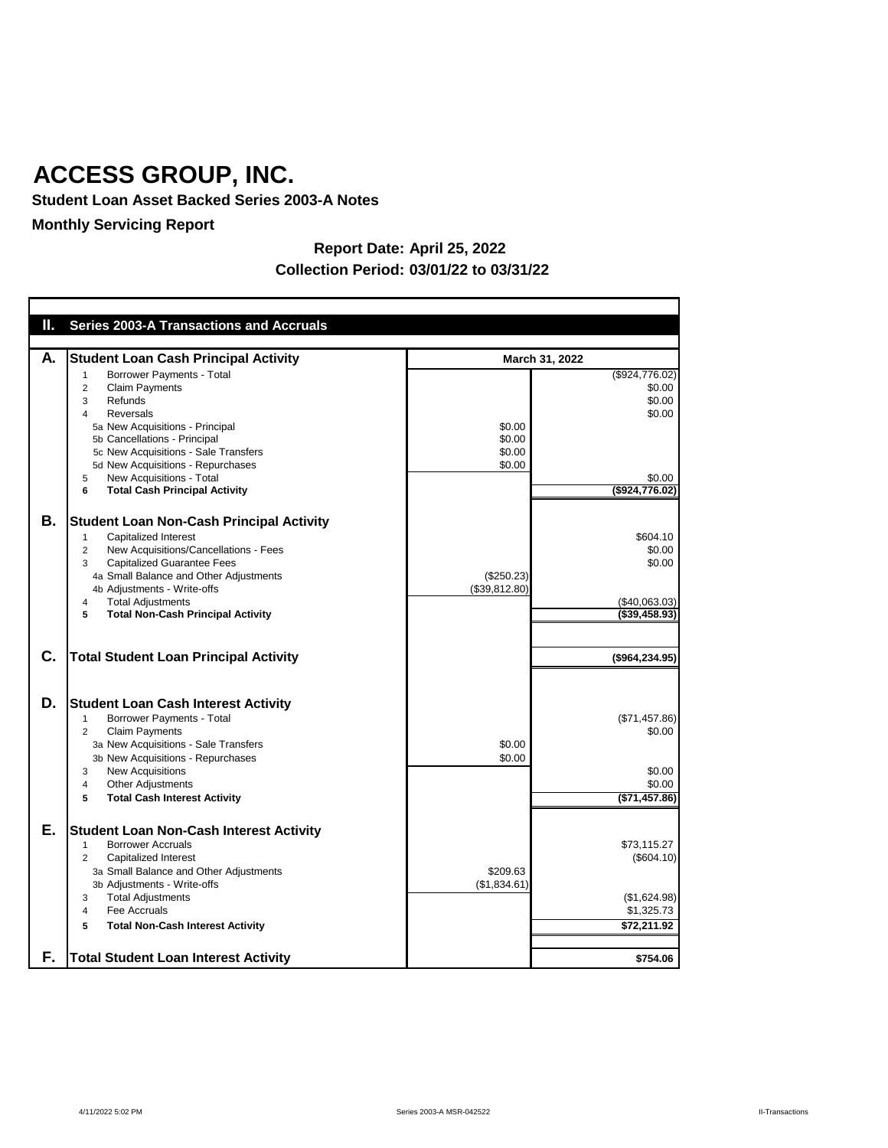**Student Loan Asset Backed Series 2003-A Notes**

## **Monthly Servicing Report**

| Ш.       | <b>Series 2003-A Transactions and Accruals</b>                                                                                                                                                                                                                                                                                               |                                      |                                                                                    |
|----------|----------------------------------------------------------------------------------------------------------------------------------------------------------------------------------------------------------------------------------------------------------------------------------------------------------------------------------------------|--------------------------------------|------------------------------------------------------------------------------------|
| А.       | <b>Student Loan Cash Principal Activity</b>                                                                                                                                                                                                                                                                                                  | March 31, 2022                       |                                                                                    |
|          | <b>Borrower Payments - Total</b><br><b>Claim Payments</b><br>2<br>Refunds<br>3<br><b>Reversals</b><br>4<br>5a New Acquisitions - Principal<br>5b Cancellations - Principal<br>5c New Acquisitions - Sale Transfers<br>5d New Acquisitions - Repurchases<br>New Acquisitions - Total<br>5<br><b>Total Cash Principal Activity</b><br>6        | \$0.00<br>\$0.00<br>\$0.00<br>\$0.00 | (\$924,776.02)<br>\$0.00<br>\$0.00<br>\$0.00<br>\$0.00<br>(\$924,776.02)           |
| В.       | <b>Student Loan Non-Cash Principal Activity</b><br>Capitalized Interest<br>1<br>New Acquisitions/Cancellations - Fees<br>2<br><b>Capitalized Guarantee Fees</b><br>3<br>4a Small Balance and Other Adjustments<br>4b Adjustments - Write-offs<br><b>Total Adjustments</b><br>4<br><b>Total Non-Cash Principal Activity</b><br>5              | (\$250.23)<br>(\$39,812.80)          | \$604.10<br>\$0.00<br>\$0.00<br>(\$40,063.03)<br>(\$39,458.93)                     |
| C.       | <b>Total Student Loan Principal Activity</b>                                                                                                                                                                                                                                                                                                 |                                      | (\$964, 234.95)                                                                    |
| D.       | <b>Student Loan Cash Interest Activity</b><br>Borrower Payments - Total<br>2<br><b>Claim Payments</b><br>3a New Acquisitions - Sale Transfers<br>3b New Acquisitions - Repurchases<br><b>New Acquisitions</b><br>3<br><b>Other Adjustments</b><br>4<br><b>Total Cash Interest Activity</b><br>5                                              | \$0.00<br>\$0.00                     | (\$71,457.86)<br>\$0.00<br>\$0.00<br>\$0.00<br>(\$71,457.86)                       |
| Е.<br>F. | <b>Student Loan Non-Cash Interest Activity</b><br><b>Borrower Accruals</b><br><b>Capitalized Interest</b><br>2<br>3a Small Balance and Other Adjustments<br>3b Adjustments - Write-offs<br><b>Total Adjustments</b><br>3<br>Fee Accruals<br>4<br><b>Total Non-Cash Interest Activity</b><br>5<br><b>Total Student Loan Interest Activity</b> | \$209.63<br>(\$1,834.61)             | \$73,115.27<br>(\$604.10)<br>(\$1,624.98)<br>\$1,325.73<br>\$72,211.92<br>\$754.06 |
|          |                                                                                                                                                                                                                                                                                                                                              |                                      |                                                                                    |

## **Report Date: April 25, 2022 Collection Period: 03/01/22 to 03/31/22**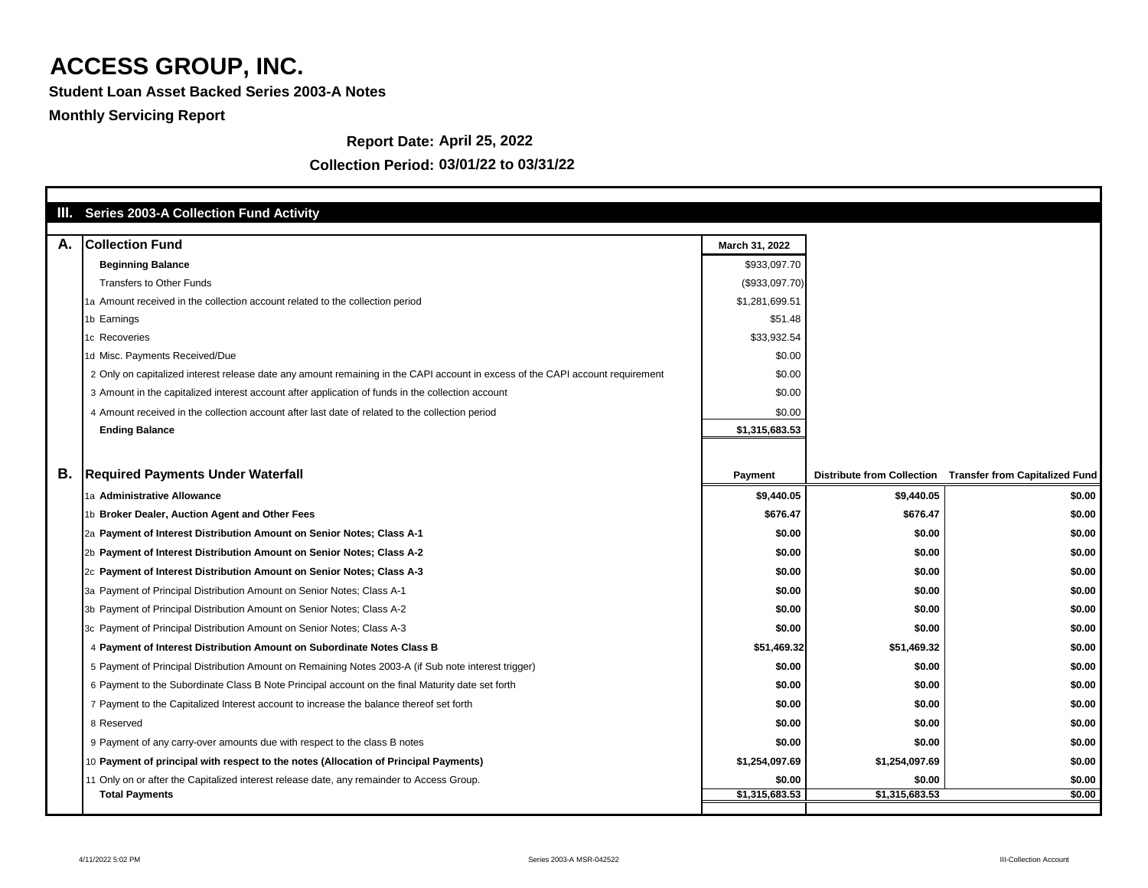**Student Loan Asset Backed Series 2003-A Notes**

## **Monthly Servicing Report**

#### **Report Date: April 25, 2022**

|    | III. Series 2003-A Collection Fund Activity                                                                                    |                |                |                                                           |
|----|--------------------------------------------------------------------------------------------------------------------------------|----------------|----------------|-----------------------------------------------------------|
| А. | <b>Collection Fund</b>                                                                                                         | March 31, 2022 |                |                                                           |
|    | <b>Beginning Balance</b>                                                                                                       | \$933,097.70   |                |                                                           |
|    | <b>Transfers to Other Funds</b>                                                                                                | (\$933,097.70) |                |                                                           |
|    | 1a Amount received in the collection account related to the collection period                                                  | \$1,281,699.51 |                |                                                           |
|    | 1b Earnings                                                                                                                    | \$51.48        |                |                                                           |
|    | 1c Recoveries                                                                                                                  | \$33,932.54    |                |                                                           |
|    | 1d Misc. Payments Received/Due                                                                                                 | \$0.00         |                |                                                           |
|    | 2 Only on capitalized interest release date any amount remaining in the CAPI account in excess of the CAPI account requirement | \$0.00         |                |                                                           |
|    | 3 Amount in the capitalized interest account after application of funds in the collection account                              | \$0.00         |                |                                                           |
|    | 4 Amount received in the collection account after last date of related to the collection period                                | \$0.00         |                |                                                           |
|    | <b>Ending Balance</b>                                                                                                          | \$1,315,683.53 |                |                                                           |
|    |                                                                                                                                |                |                |                                                           |
|    |                                                                                                                                |                |                |                                                           |
| В. | <b>Required Payments Under Waterfall</b>                                                                                       | <b>Payment</b> |                | Distribute from Collection Transfer from Capitalized Fund |
|    | 1a Administrative Allowance                                                                                                    | \$9,440.05     | \$9,440.05     | \$0.00                                                    |
|    | 1b Broker Dealer, Auction Agent and Other Fees                                                                                 | \$676.47       | \$676.47       | \$0.00                                                    |
|    | 2a Payment of Interest Distribution Amount on Senior Notes; Class A-1                                                          | \$0.00         | \$0.00         | \$0.00                                                    |
|    | 2b Payment of Interest Distribution Amount on Senior Notes; Class A-2                                                          | \$0.00         | \$0.00         | \$0.00                                                    |
|    | 2c Payment of Interest Distribution Amount on Senior Notes; Class A-3                                                          | \$0.00         | \$0.00         | \$0.00                                                    |
|    | 3a Payment of Principal Distribution Amount on Senior Notes; Class A-1                                                         | \$0.00         | \$0.00         | \$0.00                                                    |
|    | 3b Payment of Principal Distribution Amount on Senior Notes; Class A-2                                                         | \$0.00         | \$0.00         | \$0.00                                                    |
|    | 3c Payment of Principal Distribution Amount on Senior Notes; Class A-3                                                         | \$0.00         | \$0.00         | \$0.00                                                    |
|    | 4 Payment of Interest Distribution Amount on Subordinate Notes Class B                                                         | \$51,469.32    | \$51,469.32    | \$0.00                                                    |
|    | 5 Payment of Principal Distribution Amount on Remaining Notes 2003-A (if Sub note interest trigger)                            | \$0.00         | \$0.00         | \$0.00                                                    |
|    | 6 Payment to the Subordinate Class B Note Principal account on the final Maturity date set forth                               | \$0.00         | \$0.00         | \$0.00                                                    |
|    | 7 Payment to the Capitalized Interest account to increase the balance thereof set forth                                        | \$0.00         | \$0.00         | \$0.00                                                    |
|    | 8 Reserved                                                                                                                     | \$0.00         | \$0.00         | \$0.00                                                    |
|    | 9 Payment of any carry-over amounts due with respect to the class B notes                                                      | \$0.00         | \$0.00         | \$0.00                                                    |
|    | 10 Payment of principal with respect to the notes (Allocation of Principal Payments)                                           | \$1,254,097.69 | \$1,254,097.69 | \$0.00                                                    |
|    | 11 Only on or after the Capitalized interest release date, any remainder to Access Group.                                      | \$0.00         | \$0.00         | \$0.00                                                    |
|    | <b>Total Payments</b>                                                                                                          | \$1,315,683.53 | \$1,315,683.53 | \$0.00                                                    |
|    |                                                                                                                                |                |                |                                                           |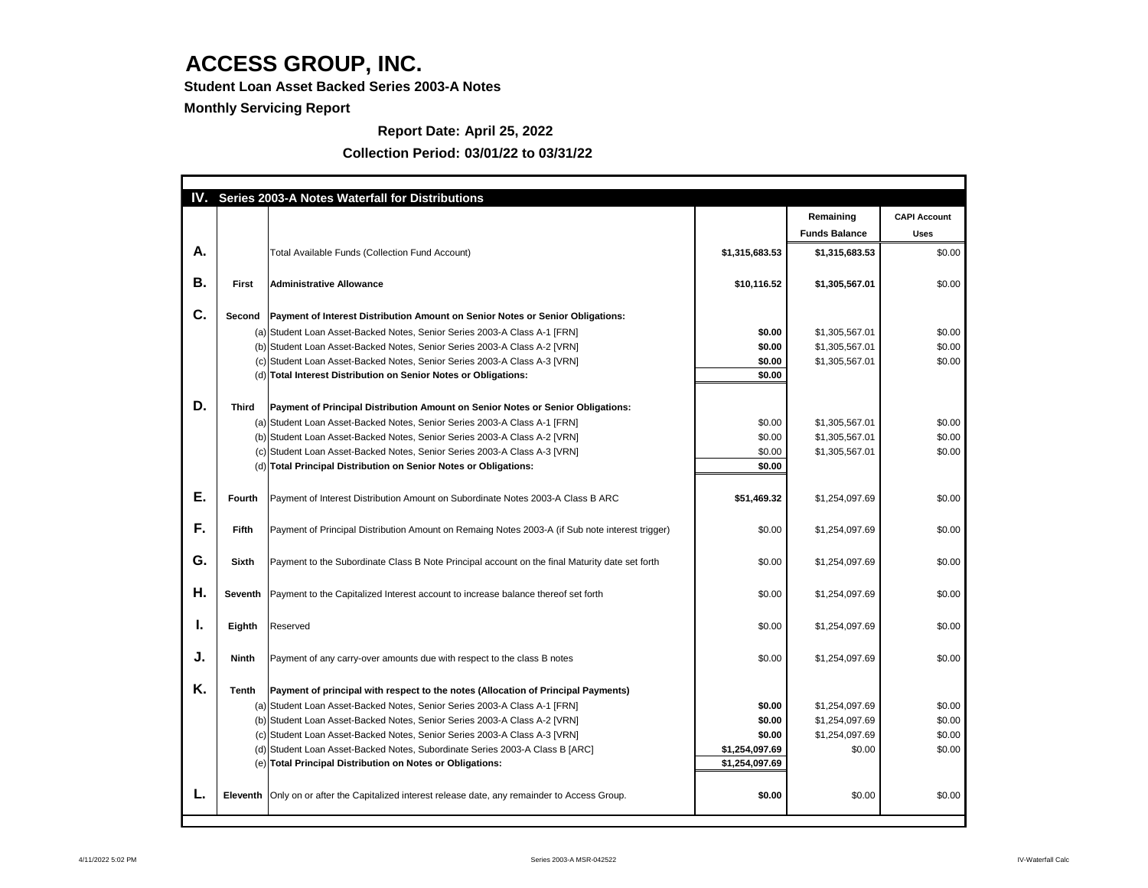**Student Loan Asset Backed Series 2003-A Notes**

**Monthly Servicing Report**

### **Report Date: April 25, 2022**

|    |               | IV. Series 2003-A Notes Waterfall for Distributions                                               |                |                      |                     |
|----|---------------|---------------------------------------------------------------------------------------------------|----------------|----------------------|---------------------|
|    |               |                                                                                                   |                | Remaining            | <b>CAPI Account</b> |
|    |               |                                                                                                   |                | <b>Funds Balance</b> | <b>Uses</b>         |
| Α. |               | <b>Total Available Funds (Collection Fund Account)</b>                                            | \$1,315,683.53 | \$1,315,683.53       | \$0.00              |
|    |               |                                                                                                   |                |                      |                     |
| В. | <b>First</b>  | <b>Administrative Allowance</b>                                                                   | \$10,116.52    | \$1,305,567.01       | \$0.00              |
| C. | <b>Second</b> | <b>Payment of Interest Distribution Amount on Senior Notes or Senior Obligations:</b>             |                |                      |                     |
|    |               | (a) Student Loan Asset-Backed Notes, Senior Series 2003-A Class A-1 [FRN]                         | \$0.00         | \$1,305,567.01       | \$0.00              |
|    |               | (b) Student Loan Asset-Backed Notes, Senior Series 2003-A Class A-2 [VRN]                         | \$0.00         | \$1,305,567.01       | \$0.00              |
|    |               | (c) Student Loan Asset-Backed Notes, Senior Series 2003-A Class A-3 [VRN]                         | \$0.00         | \$1,305,567.01       | \$0.00              |
|    |               | (d) Total Interest Distribution on Senior Notes or Obligations:                                   | \$0.00         |                      |                     |
|    |               |                                                                                                   |                |                      |                     |
| D. | <b>Third</b>  | Payment of Principal Distribution Amount on Senior Notes or Senior Obligations:                   |                |                      |                     |
|    |               | (a) Student Loan Asset-Backed Notes, Senior Series 2003-A Class A-1 [FRN]                         | \$0.00         | \$1,305,567.01       | \$0.00              |
|    |               | (b) Student Loan Asset-Backed Notes, Senior Series 2003-A Class A-2 [VRN]                         | \$0.00         | \$1,305,567.01       | \$0.00              |
|    |               | (c) Student Loan Asset-Backed Notes, Senior Series 2003-A Class A-3 [VRN]                         | \$0.00         | \$1,305,567.01       | \$0.00              |
|    |               | (d) Total Principal Distribution on Senior Notes or Obligations:                                  | \$0.00         |                      |                     |
|    |               |                                                                                                   |                |                      |                     |
| Е. | <b>Fourth</b> | Payment of Interest Distribution Amount on Subordinate Notes 2003-A Class B ARC                   | \$51,469.32    | \$1,254,097.69       | \$0.00              |
|    |               |                                                                                                   |                |                      |                     |
| F. | <b>Fifth</b>  | Payment of Principal Distribution Amount on Remaing Notes 2003-A (if Sub note interest trigger)   | \$0.00         | \$1,254,097.69       | \$0.00              |
|    |               |                                                                                                   |                |                      |                     |
| G. | <b>Sixth</b>  | Payment to the Subordinate Class B Note Principal account on the final Maturity date set forth    | \$0.00         | \$1,254,097.69       | \$0.00              |
|    |               |                                                                                                   |                |                      |                     |
| Η. |               | Seventh   Payment to the Capitalized Interest account to increase balance thereof set forth       | \$0.00         | \$1,254,097.69       | \$0.00              |
|    |               |                                                                                                   |                |                      |                     |
| ь. | <b>Eighth</b> | Reserved                                                                                          | \$0.00         | \$1,254,097.69       | \$0.00              |
|    |               |                                                                                                   |                |                      |                     |
| J. | <b>Ninth</b>  | Payment of any carry-over amounts due with respect to the class B notes                           | \$0.00         | \$1,254,097.69       | \$0.00              |
|    |               |                                                                                                   |                |                      |                     |
| K. | <b>Tenth</b>  | <b>Payment of principal with respect to the notes (Allocation of Principal Payments)</b>          |                |                      |                     |
|    |               | (a) Student Loan Asset-Backed Notes, Senior Series 2003-A Class A-1 [FRN]                         | \$0.00         | \$1,254,097.69       | \$0.00              |
|    |               | (b) Student Loan Asset-Backed Notes, Senior Series 2003-A Class A-2 [VRN]                         | \$0.00         | \$1,254,097.69       | \$0.00              |
|    |               | (c) Student Loan Asset-Backed Notes, Senior Series 2003-A Class A-3 [VRN]                         | \$0.00         | \$1,254,097.69       | \$0.00              |
|    |               | (d) Student Loan Asset-Backed Notes, Subordinate Series 2003-A Class B [ARC]                      | \$1,254,097.69 | \$0.00               | \$0.00              |
|    |               | (e) Total Principal Distribution on Notes or Obligations:                                         | \$1,254,097.69 |                      |                     |
|    |               |                                                                                                   |                |                      |                     |
| ь. |               | Eleventh   Only on or after the Capitalized interest release date, any remainder to Access Group. | \$0.00         | \$0.00               | \$0.00              |
|    |               |                                                                                                   |                |                      |                     |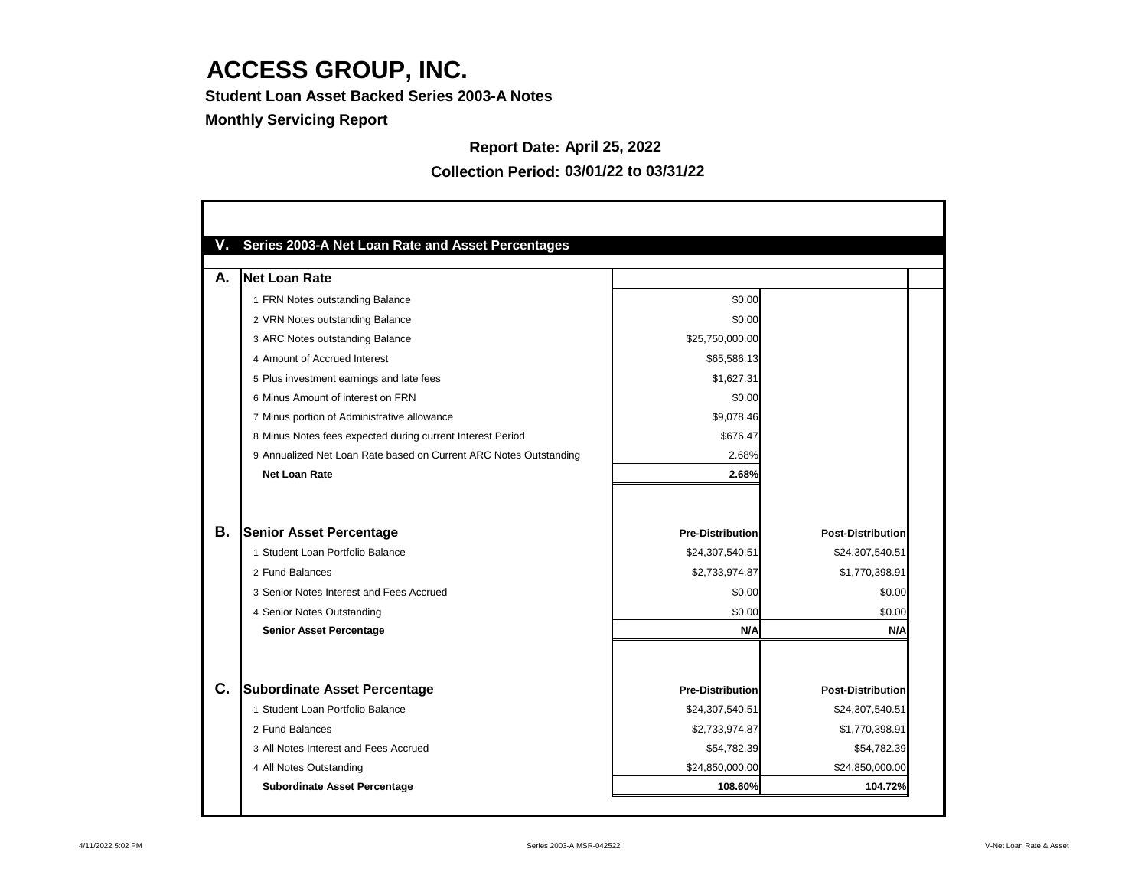**Student Loan Asset Backed Series 2003-A Notes**

### **Monthly Servicing Report**

### **Report Date: April 25, 2022**

| V. | <b>Series 2003-A Net Loan Rate and Asset Percentages</b>          |                         |                          |
|----|-------------------------------------------------------------------|-------------------------|--------------------------|
| А. | Net Loan Rate                                                     |                         |                          |
|    | 1 FRN Notes outstanding Balance                                   | \$0.00                  |                          |
|    | 2 VRN Notes outstanding Balance                                   | \$0.00                  |                          |
|    | 3 ARC Notes outstanding Balance                                   | \$25,750,000.00         |                          |
|    | 4 Amount of Accrued Interest                                      | \$65,586.13             |                          |
|    | 5 Plus investment earnings and late fees                          | \$1,627.31              |                          |
|    | 6 Minus Amount of interest on FRN                                 | \$0.00                  |                          |
|    | 7 Minus portion of Administrative allowance                       | \$9,078.46              |                          |
|    | 8 Minus Notes fees expected during current Interest Period        | \$676.47                |                          |
|    | 9 Annualized Net Loan Rate based on Current ARC Notes Outstanding | 2.68%                   |                          |
|    | <b>Net Loan Rate</b>                                              | 2.68%                   |                          |
|    |                                                                   |                         |                          |
| В. | <b>Senior Asset Percentage</b>                                    | <b>Pre-Distribution</b> | <b>Post-Distribution</b> |
|    | 1 Student Loan Portfolio Balance                                  | \$24,307,540.51         | \$24,307,540.51          |
|    | 2 Fund Balances                                                   | \$2,733,974.87          | \$1,770,398.91           |
|    | 3 Senior Notes Interest and Fees Accrued                          | \$0.00                  | \$0.00                   |
|    | 4 Senior Notes Outstanding                                        | \$0.00                  | \$0.00                   |
|    | <b>Senior Asset Percentage</b>                                    | N/A                     | N/A                      |
|    |                                                                   |                         |                          |
| C. | <b>Subordinate Asset Percentage</b>                               | <b>Pre-Distribution</b> | <b>Post-Distribution</b> |
|    | 1 Student Loan Portfolio Balance                                  | \$24,307,540.51         | \$24,307,540.51          |
|    | 2 Fund Balances                                                   | \$2,733,974.87          | \$1,770,398.91           |
|    | 3 All Notes Interest and Fees Accrued                             | \$54,782.39             | \$54,782.39              |
|    | 4 All Notes Outstanding                                           | \$24,850,000.00         | \$24,850,000.00          |
|    | <b>Subordinate Asset Percentage</b>                               | 108.60%                 | 104.72%                  |

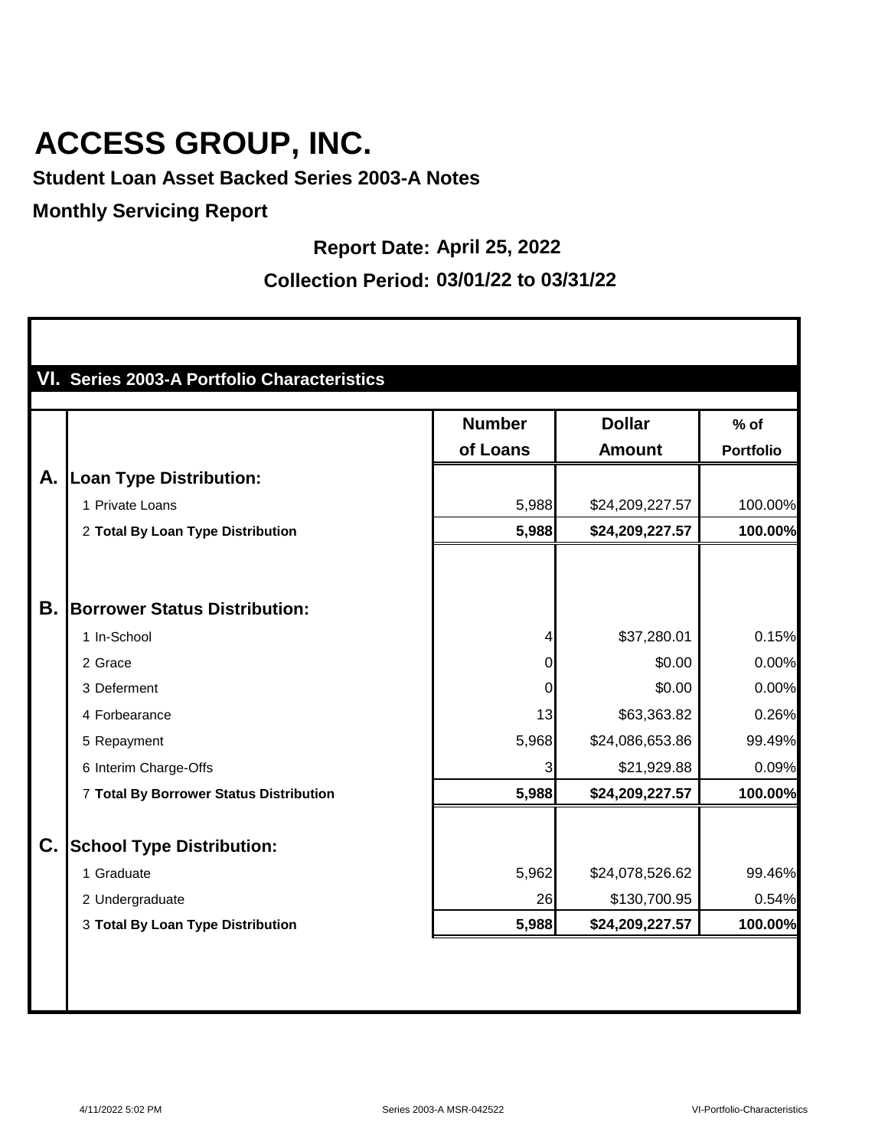**Student Loan Asset Backed Series 2003-A Notes**

### **Monthly Servicing Report**

П

#### **Report Date: April 25, 2022**

|    |                                         | <b>Number</b>  | <b>Dollar</b>   | $%$ of           |
|----|-----------------------------------------|----------------|-----------------|------------------|
|    |                                         | of Loans       | <b>Amount</b>   | <b>Portfolio</b> |
| А. | <b>Loan Type Distribution:</b>          |                |                 |                  |
|    | 1 Private Loans                         | 5,988          | \$24,209,227.57 | 100.00%          |
|    | 2 Total By Loan Type Distribution       | 5,988          | \$24,209,227.57 | 100.00%          |
| Β. | <b>Borrower Status Distribution:</b>    |                |                 |                  |
|    | 1 In-School                             | 4              | \$37,280.01     | 0.15%            |
|    | 2 Grace                                 | $\overline{0}$ | \$0.00          | 0.00%            |
|    | 3 Deferment                             | $\mathbf 0$    | \$0.00          | 0.00%            |
|    | 4 Forbearance                           | 13             | \$63,363.82     | 0.26%            |
|    | 5 Repayment                             | 5,968          | \$24,086,653.86 | 99.49%           |
|    | 6 Interim Charge-Offs                   | 3              | \$21,929.88     | 0.09%            |
|    | 7 Total By Borrower Status Distribution | 5,988          | \$24,209,227.57 | 100.00%          |
| C. | <b>School Type Distribution:</b>        |                |                 |                  |
|    | 1 Graduate                              | 5,962          | \$24,078,526.62 | 99.46%           |
|    | 2 Undergraduate                         | 26             | \$130,700.95    | 0.54%            |
|    | 3 Total By Loan Type Distribution       | 5,988          | \$24,209,227.57 | 100.00%          |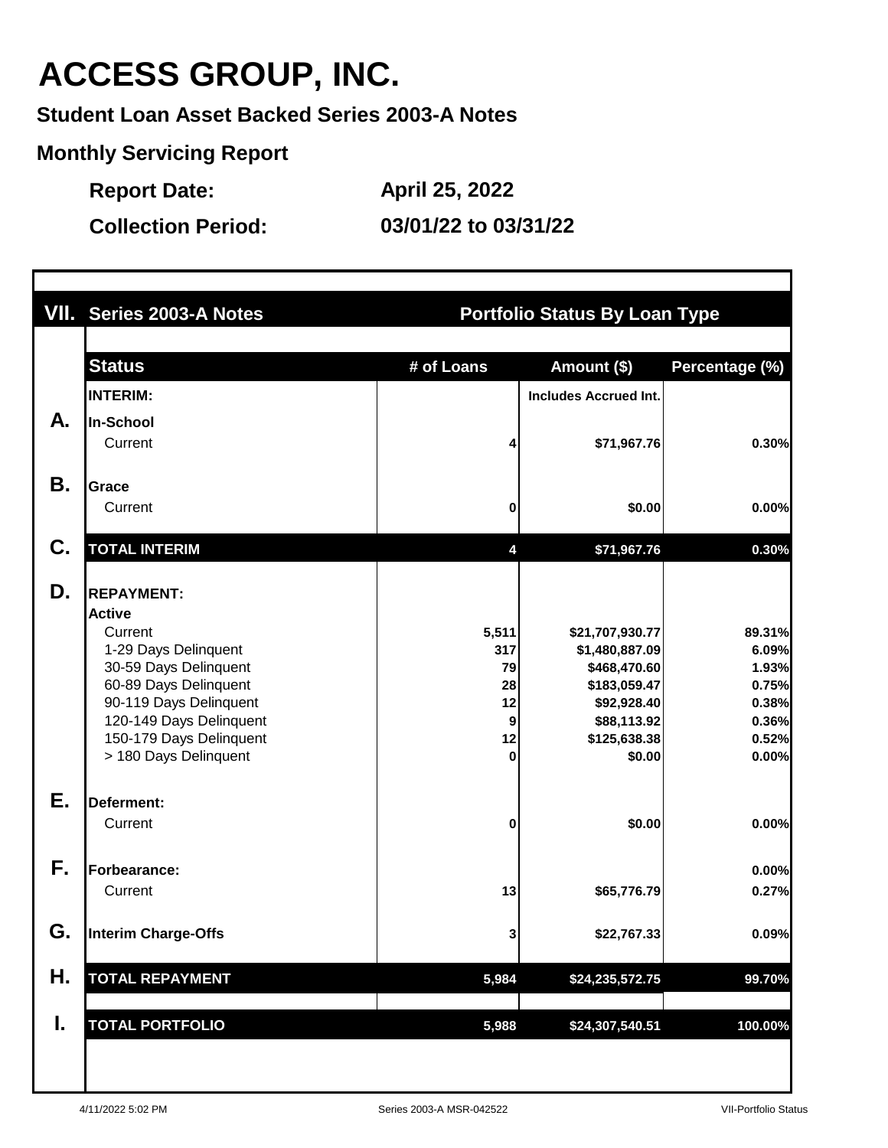**Student Loan Asset Backed Series 2003-A Notes**

**Monthly Servicing Report**

**Report Date: April 25, 2022**

|    | VII. Series 2003-A Notes                        |            | <b>Portfolio Status By Loan Type</b> |                |
|----|-------------------------------------------------|------------|--------------------------------------|----------------|
|    | <b>Status</b>                                   | # of Loans | Amount (\$)                          | Percentage (%) |
|    | <b>INTERIM:</b>                                 |            | <b>Includes Accrued Int.</b>         |                |
| А. | In-School                                       |            |                                      |                |
|    | Current                                         |            | \$71,967.76                          | 0.30%          |
| Β. | <b>Grace</b>                                    |            |                                      |                |
|    | Current                                         | 0          | \$0.00                               | 0.00%          |
|    |                                                 |            |                                      |                |
| C. | <b>TOTAL INTERIM</b>                            | 4          | \$71,967.76                          | 0.30%          |
| D. | <b>REPAYMENT:</b>                               |            |                                      |                |
|    | <b>Active</b>                                   |            |                                      |                |
|    | Current                                         | 5,511      | \$21,707,930.77                      | 89.31%         |
|    | 1-29 Days Delinquent                            | 317        | \$1,480,887.09                       | 6.09%          |
|    | 30-59 Days Delinquent                           | 79         | \$468,470.60                         | 1.93%          |
|    | 60-89 Days Delinquent<br>90-119 Days Delinquent | 28<br>12   | \$183,059.47                         | 0.75%<br>0.38% |
|    | 120-149 Days Delinquent                         | 9          | \$92,928.40<br>\$88,113.92           | 0.36%          |
|    | 150-179 Days Delinquent                         | 12         | \$125,638.38                         | 0.52%          |
|    | > 180 Days Delinquent                           | $\bf{0}$   | \$0.00                               | 0.00%          |
| Ε. | Deferment:                                      |            |                                      |                |
|    | Current                                         | 0          | \$0.00                               | 0.00%          |
|    |                                                 |            |                                      |                |
| F. | Forbearance:                                    |            |                                      | 0.00%          |
|    | Current                                         | 13         | \$65,776.79                          | 0.27%          |
| G. | <b>Interim Charge-Offs</b>                      | 3          | \$22,767.33                          | 0.09%          |
| Η. | <b>TOTAL REPAYMENT</b>                          | 5,984      | \$24,235,572.75                      | 99.70%         |
| ı. | <b>TOTAL PORTFOLIO</b>                          | 5,988      | \$24,307,540.51                      | 100.00%        |
|    |                                                 |            |                                      |                |
|    |                                                 |            |                                      |                |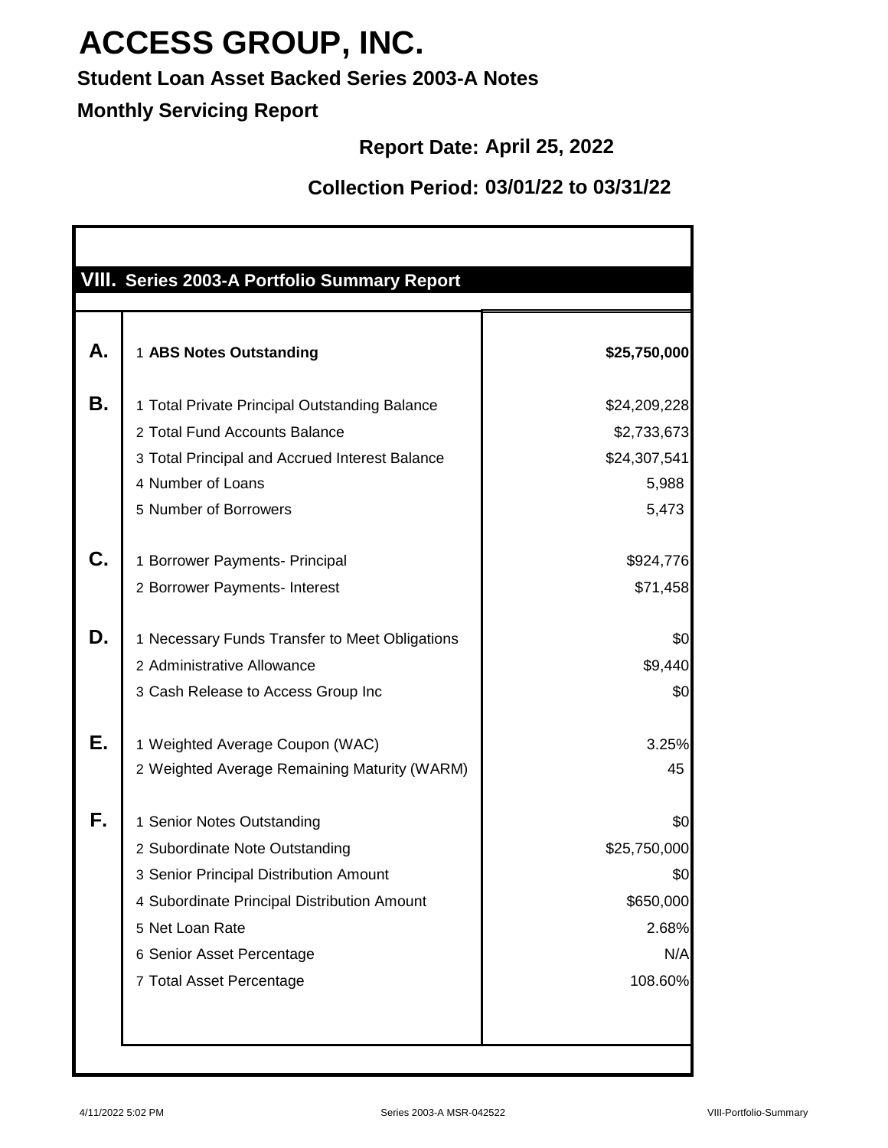### **Student Loan Asset Backed Series 2003-A Notes**

### **Monthly Servicing Report**

#### **Report Date: April 25, 2022**

|    | VIII. Series 2003-A Portfolio Summary Report   |              |
|----|------------------------------------------------|--------------|
| А. | 1 ABS Notes Outstanding                        | \$25,750,000 |
| Β. | 1 Total Private Principal Outstanding Balance  | \$24,209,228 |
|    | 2 Total Fund Accounts Balance                  | \$2,733,673  |
|    | 3 Total Principal and Accrued Interest Balance | \$24,307,541 |
|    | 4 Number of Loans                              | 5,988        |
|    | 5 Number of Borrowers                          | 5,473        |
| C. | 1 Borrower Payments- Principal                 | \$924,776    |
|    | 2 Borrower Payments- Interest                  | \$71,458     |
| D. | 1 Necessary Funds Transfer to Meet Obligations | \$0          |
|    | 2 Administrative Allowance                     | \$9,440      |
|    | 3 Cash Release to Access Group Inc             | \$0          |
| Е. | 1 Weighted Average Coupon (WAC)                | 3.25%        |
|    | 2 Weighted Average Remaining Maturity (WARM)   | 45           |
| F. | 1 Senior Notes Outstanding                     | \$0          |
|    | 2 Subordinate Note Outstanding                 | \$25,750,000 |
|    | 3 Senior Principal Distribution Amount         | \$0          |
|    | 4 Subordinate Principal Distribution Amount    | \$650,000    |
|    | 5 Net Loan Rate                                | 2.68%        |
|    | 6 Senior Asset Percentage                      | N/A          |
|    | 7 Total Asset Percentage                       | 108.60%      |
|    |                                                |              |